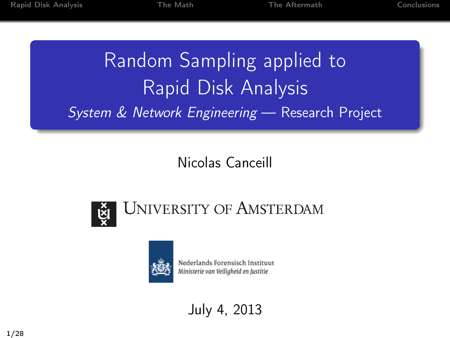# Random Sampling applied to Rapid Disk Analysis System & Network Engineering — Research Project

### Nicolas Canceill





Nederlands Forensisch Instituut Ministerie van Veiligheid en Justitie

July 4, 2013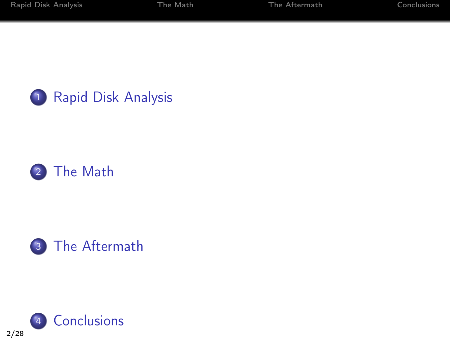





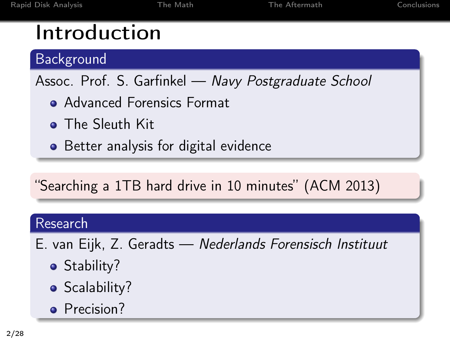### Introduction

Background

Assoc. Prof. S. Garfinkel - Navy Postgraduate School

- **Advanced Forensics Format**
- **•** The Sleuth Kit
- Better analysis for digital evidence

"Searching a 1TB hard drive in 10 minutes" (ACM 2013)

#### Research

- E. van Eijk, Z. Geradts Nederlands Forensisch Instituut
	- Stability?
	- Scalability?
	- Precision?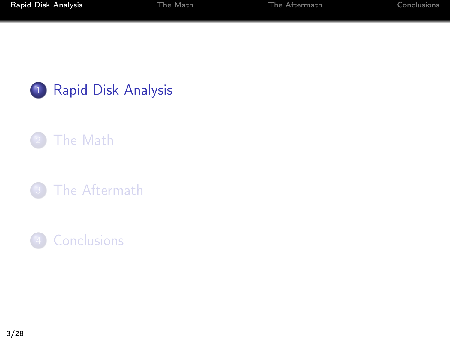

- [The Math](#page-8-0)
- <sup>3</sup> [The Aftermath](#page-14-0)
- <span id="page-3-0"></span>4 [Conclusions](#page-20-0)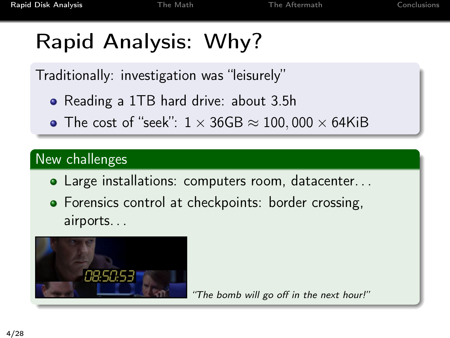# Rapid Analysis: Why?

Traditionally: investigation was "leisurely"

- Reading a 1TB hard drive: about 3.5h
- The cost of "seek":  $1 \times 36$ GB  $\approx 100,000 \times 64$ KiB

### New challenges

- Large installations: computers room, datacenter. . .
- Forensics control at checkpoints: border crossing, airports. . .



"The bomb will go off in the next hour!"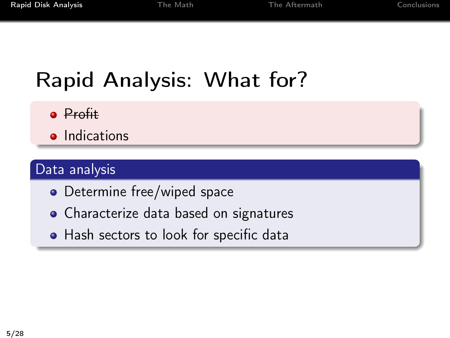# Rapid Analysis: What for?

- **•** Profit
- **•** Indications

### Data analysis

- Determine free/wiped space
- Characterize data based on signatures
- Hash sectors to look for specific data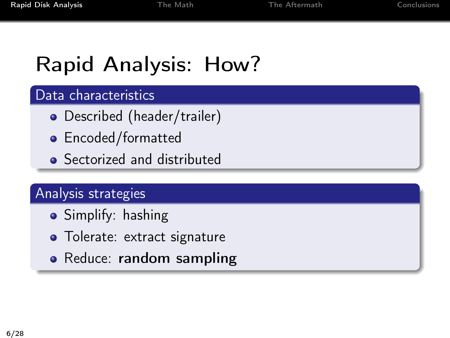# Rapid Analysis: How?

#### Data characteristics

- Described (header/trailer)
- Encoded/formatted
- **•** Sectorized and distributed

#### Analysis strategies

- Simplify: hashing
- Tolerate: extract signature
- Reduce: random sampling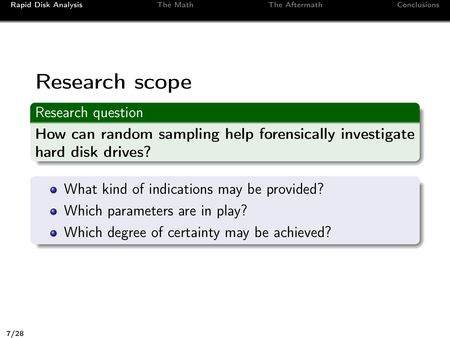### Research scope

### Research question

### How can random sampling help forensically investigate hard disk drives?

- What kind of indications may be provided?
- Which parameters are in play?
- Which degree of certainty may be achieved?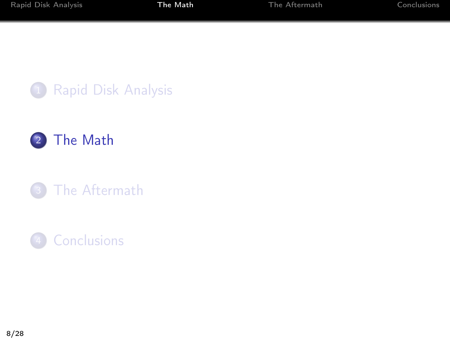



[The Aftermath](#page-14-0)

### <span id="page-8-0"></span>[Conclusions](#page-20-0)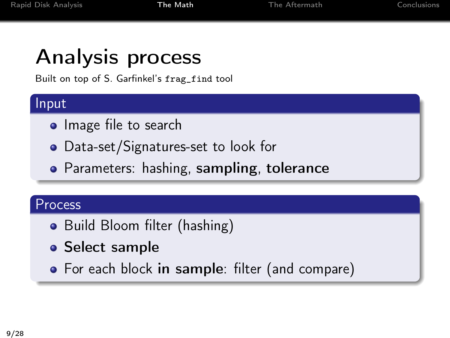### Analysis process

Built on top of S. Garfinkel's frag\_find tool

#### Input

- Image file to search
- Data-set/Signatures-set to look for
- Parameters: hashing, sampling, tolerance

#### Process

- Build Bloom filter (hashing)
- **Select sample**
- For each block in sample: filter (and compare)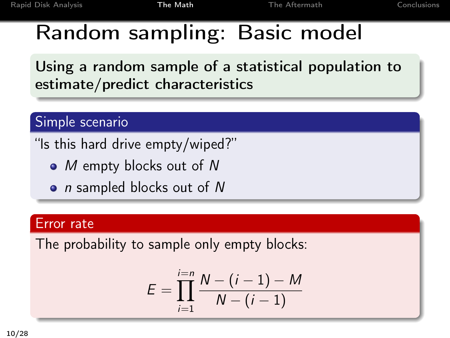### Random sampling: Basic model

Using a random sample of a statistical population to estimate/predict characteristics

#### Simple scenario

"Is this hard drive empty/wiped?"

- M empty blocks out of N
- *n* sampled blocks out of N

#### Error rate

The probability to sample only empty blocks:

$$
E = \prod_{i=1}^{i=n} \frac{N - (i-1) - M}{N - (i-1)}
$$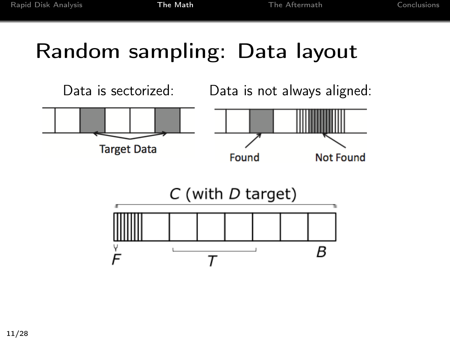# Random sampling: Data layout

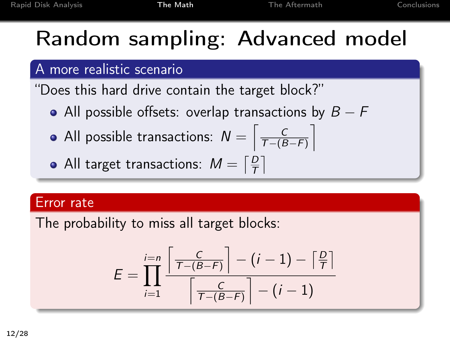# Random sampling: Advanced model

#### A more realistic scenario

"Does this hard drive contain the target block?"

- All possible offsets: overlap transactions by  $B F$
- All possible transactions:  $N = \left\lceil \frac{C}{T-(B)} \right\rceil$  $\frac{C}{T-(B-F)}$
- All target transactions:  $M = \lceil \frac{D}{T} \rceil$  $\frac{D}{T}$

#### Error rate

The probability to miss all target blocks:

$$
E = \prod_{i=1}^{i=n} \frac{\left\lceil \frac{C}{\tau - (B-F)} \right\rceil - (i-1) - \left\lceil \frac{D}{\tau} \right\rceil}{\left\lceil \frac{C}{\tau - (B-F)} \right\rceil - (i-1)}
$$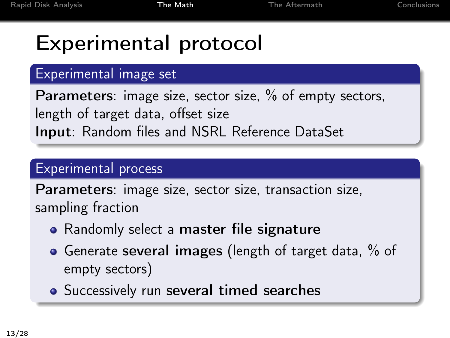# Experimental protocol

### Experimental image set

Parameters: image size, sector size, % of empty sectors, length of target data, offset size Input: Random files and NSRL Reference DataSet

### Experimental process

Parameters: image size, sector size, transaction size, sampling fraction

- Randomly select a master file signature
- Generate several images (length of target data, % of empty sectors)
- **•** Successively run several timed searches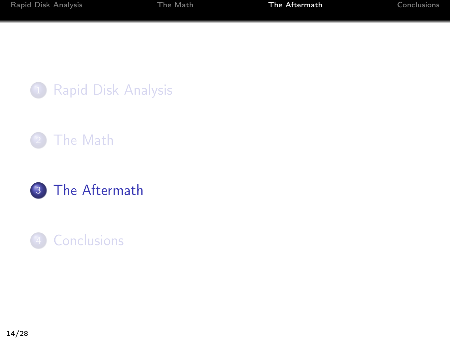





### <span id="page-14-0"></span>[Conclusions](#page-20-0)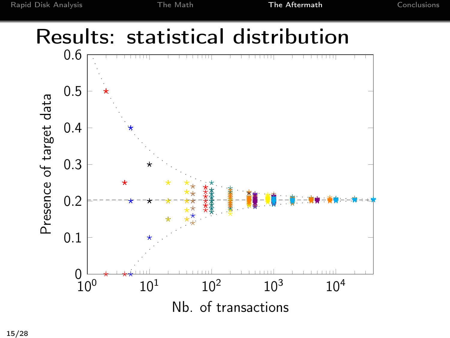### Results: statistical distribution

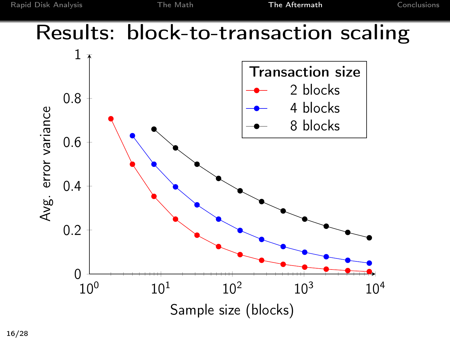### Results: block-to-transaction scaling

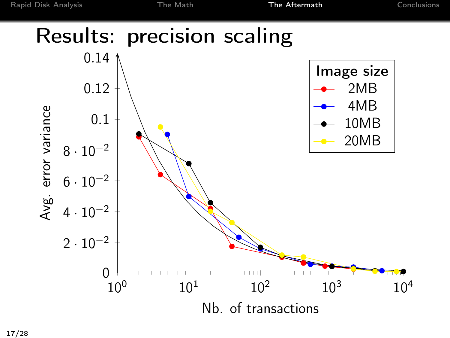### Results: precision scaling

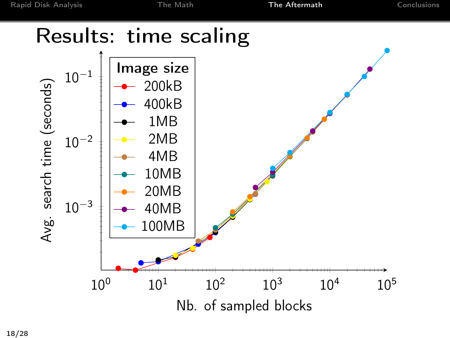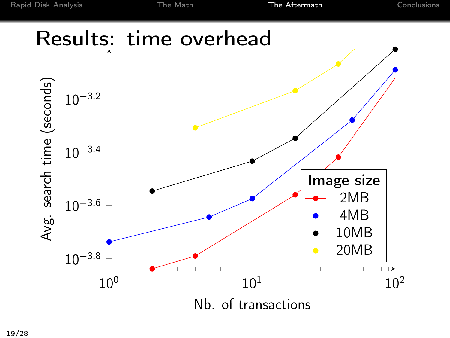### Results: time overhead

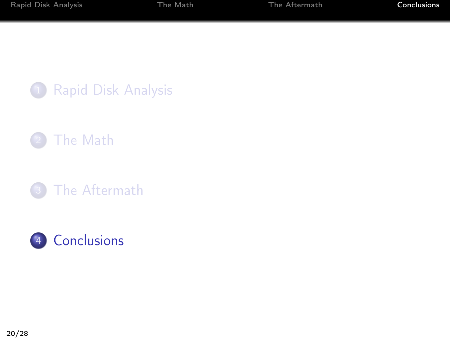

- [The Math](#page-8-0)
- [The Aftermath](#page-14-0)

<span id="page-20-0"></span>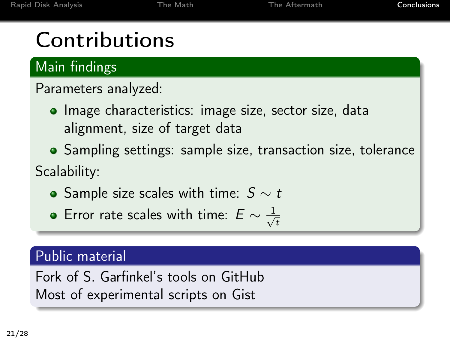# **Contributions**

Main findings

Parameters analyzed:

- Image characteristics: image size, sector size, data alignment, size of target data
- Sampling settings: sample size, transaction size, tolerance Scalability:
	- Sample size scales with time:  $S ∼ t$
	- Error rate scales with time:  $E \sim \frac{1}{\sqrt{2}}$ t

#### Public material

Fork of S. Garfinkel's tools on GitHub Most of experimental scripts on Gist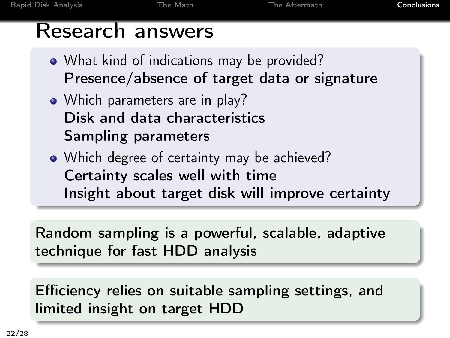### Research answers

- What kind of indications may be provided? Presence/absence of target data or signature
- Which parameters are in play? Disk and data characteristics Sampling parameters
- Which degree of certainty may be achieved? Certainty scales well with time Insight about target disk will improve certainty

Random sampling is a powerful, scalable, adaptive technique for fast HDD analysis

Efficiency relies on suitable sampling settings, and limited insight on target HDD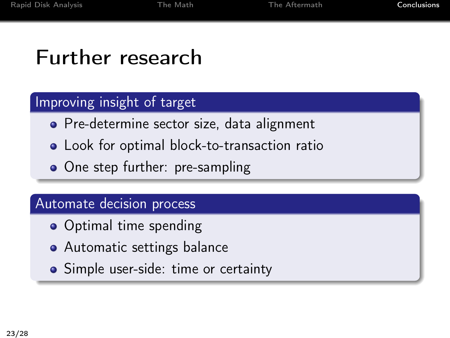### Further research

#### Improving insight of target

- **•** Pre-determine sector size, data alignment
- Look for optimal block-to-transaction ratio
- One step further: pre-sampling

#### Automate decision process

- Optimal time spending
- Automatic settings balance
- Simple user-side: time or certainty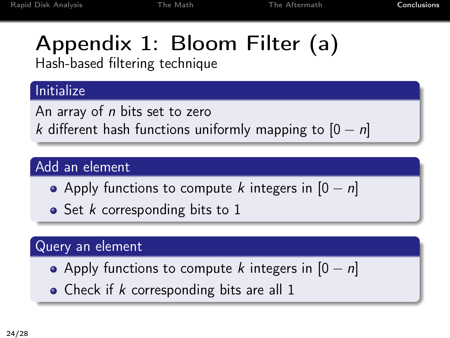# Appendix 1: Bloom Filter (a)

Hash-based filtering technique

### Initialize

An array of *n* bits set to zero k different hash functions uniformly mapping to  $[0 - n]$ 

### Add an element

- Apply functions to compute k integers in  $[0 n]$
- $\bullet$  Set *k* corresponding bits to 1

### Query an element

- Apply functions to compute k integers in  $[0 n]$
- Check if  $k$  corresponding bits are all 1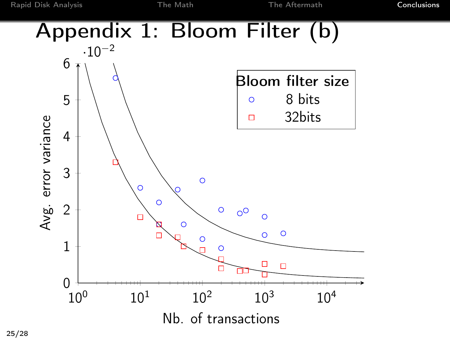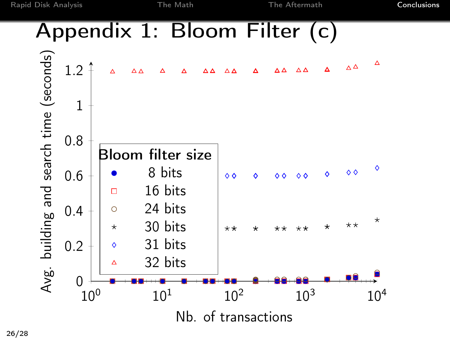### Appendix 1: Bloom Filter (c)

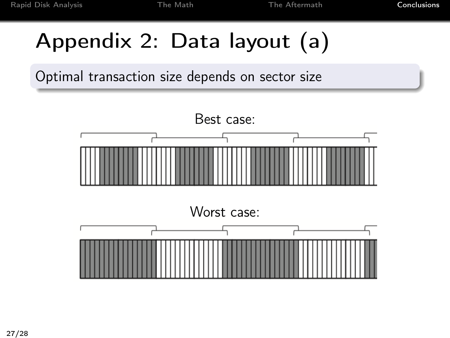# Appendix 2: Data layout (a)

Optimal transaction size depends on sector size